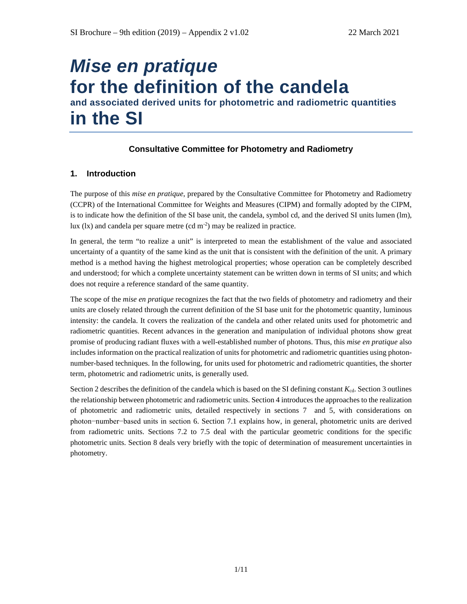# *Mise en pratique*  **for the definition of the candela and associated derived units for photometric and radiometric quantities in the SI**

# **Consultative Committee for Photometry and Radiometry**

# **1. Introduction**

The purpose of this *mise en pratique*, prepared by the Consultative Committee for Photometry and Radiometry (CCPR) of the International Committee for Weights and Measures (CIPM) and formally adopted by the CIPM, is to indicate how the definition of the SI base unit, the candela, symbol cd, and the derived SI units lumen (lm), lux (lx) and candela per square metre (cd m<sup>-2</sup>) may be realized in practice.

In general, the term "to realize a unit" is interpreted to mean the establishment of the value and associated uncertainty of a quantity of the same kind as the unit that is consistent with the definition of the unit. A primary method is a method having the highest metrological properties; whose operation can be completely described and understood; for which a complete uncertainty statement can be written down in terms of SI units; and which does not require a reference standard of the same quantity.

The scope of the *mise en pratique* recognizes the fact that the two fields of photometry and radiometry and their units are closely related through the current definition of the SI base unit for the photometric quantity, luminous intensity: the candela. It covers the realization of the candela and other related units used for photometric and radiometric quantities. Recent advances in the generation and manipulation of individual photons show great promise of producing radiant fluxes with a well-established number of photons. Thus, this *mise en pratique* also includes information on the practical realization of units for photometric and radiometric quantities using photonnumber-based techniques. In the following, for units used for photometric and radiometric quantities, the shorter term, photometric and radiometric units, is generally used.

<span id="page-0-0"></span>Sectio[n 2](#page-0-0) describes the definition of the candela which is based on the SI defining constant *K*<sub>cd</sub>. Section [3](#page-1-0) outlines the relationship between photometric and radiometric units. Section [4](#page-3-0) introduces the approaches to the realization of photometric and radiometric units, detailed respectively in sections [7](#page-5-0) and [5,](#page-4-0) with considerations on photon−number−based units in section [6.](#page-5-1) Section [7.1](#page-5-2) explains how, in general, photometric units are derived from radiometric units. Sections [7.2](#page-6-0) to [7.5](#page-9-0) deal with the particular geometric conditions for the specific photometric units. Section [8](#page-10-0) deals very briefly with the topic of determination of measurement uncertainties in photometry.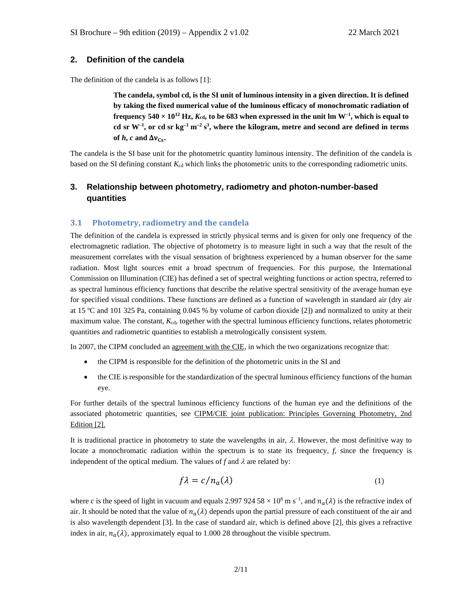# **2. Definition of the candela**

The definition of the candela is as follows [1]:

**The candela, symbol cd, is the SI unit of luminous intensity in a given direction. It is defined by taking the fixed numerical value of the luminous efficacy of monochromatic radiation of**  frequency  $540 \times 10^{12}$  Hz,  $K_{cd}$ , to be  $683$  when expressed in the unit lm W<sup>-1</sup>, which is equal to **cd sr W–1 , or cd sr kg–1 m–2 s3 , where the kilogram, metre and second are defined in terms**  of  $h$ ,  $c$  and  $\Delta v_{Cs}$ .

The candela is the SI base unit for the photometric quantity luminous intensity. The definition of the candela is based on the SI defining constant  $K_{cd}$  which links the photometric units to the corresponding radiometric units.

# <span id="page-1-0"></span>**3. Relationship between photometry, radiometry and photon-number-based quantities**

## **3.1 Photometry, radiometry and the candela**

The definition of the candela is expressed in strictly physical terms and is given for only one frequency of the electromagnetic radiation. The objective of photometry is to measure light in such a way that the result of the measurement correlates with the visual sensation of brightness experienced by a human observer for the same radiation. Most light sources emit a broad spectrum of frequencies. For this purpose, the International Commission on Illumination (CIE) has defined a set of spectral weighting functions or action spectra, referred to as spectral luminous efficiency functions that describe the relative spectral sensitivity of the average human eye for specified visual conditions. These functions are defined as a function of wavelength in standard air (dry air at 15 ºC and 101 325 Pa, containing 0.045 % by volume of carbon dioxide [2]) and normalized to unity at their maximum value. The constant,  $K_{cd}$ , together with the spectral luminous efficiency functions, relates photometric quantities and radiometric quantities to establish a metrologically consistent system.

In 2007, the CIPM concluded an agreement with the CIE, in which the two organizations recognize that:

- the CIPM is responsible for the definition of the photometric units in the SI and
- the CIE is responsible for the standardization of the spectral luminous efficiency functions of the human eye.

For further details of the spectral luminous efficiency functions of the human eye and the definitions of the associated photometric quantities, see CIPM/CIE joint publication: Principles Governing Photometry, 2nd Edition [2].

It is traditional practice in photometry to state the wavelengths in air,  $\lambda$ . However, the most definitive way to locate a monochromatic radiation within the spectrum is to state its frequency, *f*, since the frequency is independent of the optical medium. The values of  $f$  and  $\lambda$  are related by:

$$
f\lambda = c/n_a(\lambda) \tag{1}
$$

where *c* is the speed of light in vacuum and equals 2.997 924 58  $\times$  10<sup>8</sup> m s<sup>-1</sup>, and  $n_a(\lambda)$  is the refractive index of air. It should be noted that the value of  $n_a(\lambda)$  depends upon the partial pressure of each constituent of the air and is also wavelength dependent [3]. In the case of standard air, which is defined above [2], this gives a refractive index in air,  $n_a(\lambda)$ , approximately equal to 1.000 28 throughout the visible spectrum.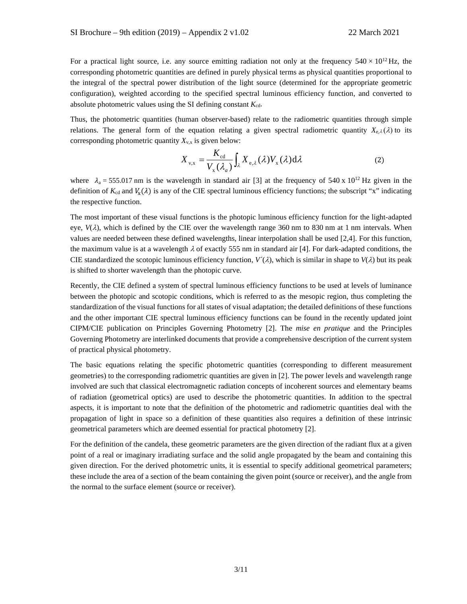For a practical light source, i.e. any source emitting radiation not only at the frequency  $540 \times 10^{12}$  Hz, the corresponding photometric quantities are defined in purely physical terms as physical quantities proportional to the integral of the spectral power distribution of the light source (determined for the appropriate geometric configuration), weighted according to the specified spectral luminous efficiency function, and converted to absolute photometric values using the SI defining constant  $K_{cd}$ .

Thus, the photometric quantities (human observer-based) relate to the radiometric quantities through simple relations. The general form of the equation relating a given spectral radiometric quantity  $X_{e,\lambda}(\lambda)$  to its corresponding photometric quantity  $X_{v,x}$  is given below:

$$
X_{v,x} = \frac{K_{cd}}{V_x(\lambda_a)} \int_{\lambda} X_{e,\lambda}(\lambda) V_x(\lambda) d\lambda
$$
 (2)

where  $\lambda_a = 555.017$  nm is the wavelength in standard air [3] at the frequency of 540 x 10<sup>12</sup> Hz given in the definition of  $K_{cd}$  and  $V_x(\lambda)$  is any of the CIE spectral luminous efficiency functions; the subscript "x" indicating the respective function.

The most important of these visual functions is the photopic luminous efficiency function for the light-adapted eye,  $V(\lambda)$ , which is defined by the CIE over the wavelength range 360 nm to 830 nm at 1 nm intervals. When values are needed between these defined wavelengths, linear interpolation shall be used [2,4]. For this function, the maximum value is at a wavelength  $\lambda$  of exactly 555 nm in standard air [4]. For dark-adapted conditions, the CIE standardized the scotopic luminous efficiency function,  $V^{\prime}(\lambda)$ , which is similar in shape to  $V(\lambda)$  but its peak is shifted to shorter wavelength than the photopic curve.

Recently, the CIE defined a system of spectral luminous efficiency functions to be used at levels of luminance between the photopic and scotopic conditions, which is referred to as the mesopic region, thus completing the standardization of the visual functions for all states of visual adaptation; the detailed definitions of these functions and the other important CIE spectral luminous efficiency functions can be found in the recently updated joint CIPM/CIE publication on Principles Governing Photometry [2]. The *mise en pratique* and the Principles Governing Photometry are interlinked documents that provide a comprehensive description of the current system of practical physical photometry.

The basic equations relating the specific photometric quantities (corresponding to different measurement geometries) to the corresponding radiometric quantities are given in [2]. The power levels and wavelength range involved are such that classical electromagnetic radiation concepts of incoherent sources and elementary beams of radiation (geometrical optics) are used to describe the photometric quantities. In addition to the spectral aspects, it is important to note that the definition of the photometric and radiometric quantities deal with the propagation of light in space so a definition of these quantities also requires a definition of these intrinsic geometrical parameters which are deemed essential for practical photometry [2].

For the definition of the candela, these geometric parameters are the given direction of the radiant flux at a given point of a real or imaginary irradiating surface and the solid angle propagated by the beam and containing this given direction. For the derived photometric units, it is essential to specify additional geometrical parameters; these include the area of a section of the beam containing the given point (source or receiver), and the angle from the normal to the surface element (source or receiver).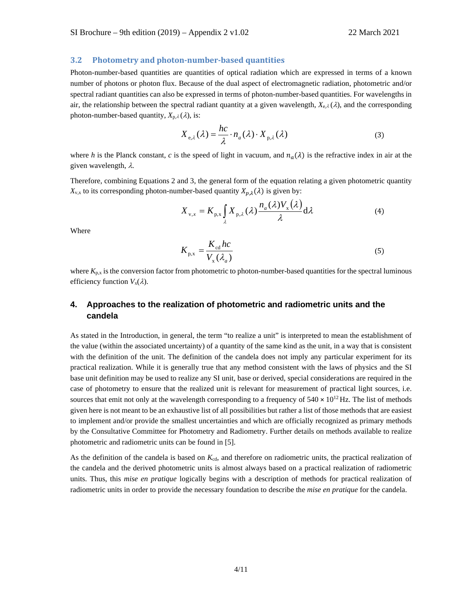#### **3.2 Photometry and photon-number-based quantities**

Photon-number-based quantities are quantities of optical radiation which are expressed in terms of a known number of photons or photon flux. Because of the dual aspect of electromagnetic radiation, photometric and/or spectral radiant quantities can also be expressed in terms of photon-number-based quantities. For wavelengths in air, the relationship between the spectral radiant quantity at a given wavelength,  $X_{e,\lambda}(\lambda)$ , and the corresponding photon-number-based quantity,  $X_{p,\lambda}(\lambda)$ , is:

$$
X_{e,\lambda}(\lambda) = \frac{hc}{\lambda} \cdot n_a(\lambda) \cdot X_{p,\lambda}(\lambda)
$$
 (3)

where *h* is the Planck constant, *c* is the speed of light in vacuum, and  $n_a(\lambda)$  is the refractive index in air at the given wavelength, λ.

Therefore, combining Equations 2 and 3, the general form of the equation relating a given photometric quantity  $X_{v,x}$  to its corresponding photon-number-based quantity  $X_{v,\lambda}(\lambda)$  is given by:

$$
X_{v,x} = K_{p,x} \int_{\lambda} X_{p,\lambda}(\lambda) \frac{n_a(\lambda) V_x(\lambda)}{\lambda} d\lambda
$$
 (4)

Where

$$
K_{\text{p,x}} = \frac{K_{\text{cd}}hc}{V_{\text{x}}(\lambda_a)}
$$
(5)

where  $K_{p,x}$  is the conversion factor from photometric to photon-number-based quantities for the spectral luminous efficiency function  $V_x(\lambda)$ .

# <span id="page-3-0"></span>**4. Approaches to the realization of photometric and radiometric units and the candela**

As stated in the Introduction, in general, the term "to realize a unit" is interpreted to mean the establishment of the value (within the associated uncertainty) of a quantity of the same kind as the unit, in a way that is consistent with the definition of the unit. The definition of the candela does not imply any particular experiment for its practical realization. While it is generally true that any method consistent with the laws of physics and the SI base unit definition may be used to realize any SI unit, base or derived, special considerations are required in the case of photometry to ensure that the realized unit is relevant for measurement of practical light sources, i.e. sources that emit not only at the wavelength corresponding to a frequency of  $540 \times 10^{12}$  Hz. The list of methods given here is not meant to be an exhaustive list of all possibilities but rather a list of those methods that are easiest to implement and/or provide the smallest uncertainties and which are officially recognized as primary methods by the Consultative Committee for Photometry and Radiometry. Further details on methods available to realize photometric and radiometric units can be found in [5].

As the definition of the candela is based on  $K_{cd}$ , and therefore on radiometric units, the practical realization of the candela and the derived photometric units is almost always based on a practical realization of radiometric units. Thus, this *mise en pratique* logically begins with a description of methods for practical realization of radiometric units in order to provide the necessary foundation to describe the *mise en pratique* for the candela.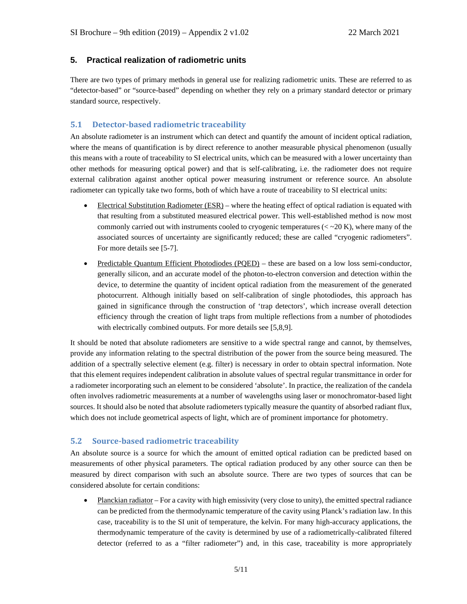# <span id="page-4-0"></span>**5. Practical realization of radiometric units**

There are two types of primary methods in general use for realizing radiometric units. These are referred to as "detector-based" or "source-based" depending on whether they rely on a primary standard detector or primary standard source, respectively.

# **5.1 Detector-based radiometric traceability**

An absolute radiometer is an instrument which can detect and quantify the amount of incident optical radiation, where the means of quantification is by direct reference to another measurable physical phenomenon (usually this means with a route of traceability to SI electrical units, which can be measured with a lower uncertainty than other methods for measuring optical power) and that is self-calibrating, i.e. the radiometer does not require external calibration against another optical power measuring instrument or reference source. An absolute radiometer can typically take two forms, both of which have a route of traceability to SI electrical units:

- Electrical Substitution Radiometer  $(ESR)$  where the heating effect of optical radiation is equated with that resulting from a substituted measured electrical power. This well-established method is now most commonly carried out with instruments cooled to cryogenic temperatures  $(<$  ~20 K), where many of the associated sources of uncertainty are significantly reduced; these are called "cryogenic radiometers". For more details see [5-7].
- Predictable Quantum Efficient Photodiodes (PQED) these are based on a low loss semi-conductor, generally silicon, and an accurate model of the photon-to-electron conversion and detection within the device, to determine the quantity of incident optical radiation from the measurement of the generated photocurrent. Although initially based on self-calibration of single photodiodes, this approach has gained in significance through the construction of 'trap detectors', which increase overall detection efficiency through the creation of light traps from multiple reflections from a number of photodiodes with electrically combined outputs. For more details see [5,8,9].

It should be noted that absolute radiometers are sensitive to a wide spectral range and cannot, by themselves, provide any information relating to the spectral distribution of the power from the source being measured. The addition of a spectrally selective element (e.g. filter) is necessary in order to obtain spectral information. Note that this element requires independent calibration in absolute values of spectral regular transmittance in order for a radiometer incorporating such an element to be considered 'absolute'. In practice, the realization of the candela often involves radiometric measurements at a number of wavelengths using laser or monochromator-based light sources. It should also be noted that absolute radiometers typically measure the quantity of absorbed radiant flux, which does not include geometrical aspects of light, which are of prominent importance for photometry.

## **5.2 Source-based radiometric traceability**

An absolute source is a source for which the amount of emitted optical radiation can be predicted based on measurements of other physical parameters. The optical radiation produced by any other source can then be measured by direct comparison with such an absolute source. There are two types of sources that can be considered absolute for certain conditions:

• Planckian radiator – For a cavity with high emissivity (very close to unity), the emitted spectral radiance can be predicted from the thermodynamic temperature of the cavity using Planck's radiation law. In this case, traceability is to the SI unit of temperature, the kelvin. For many high-accuracy applications, the thermodynamic temperature of the cavity is determined by use of a radiometrically-calibrated filtered detector (referred to as a "filter radiometer") and, in this case, traceability is more appropriately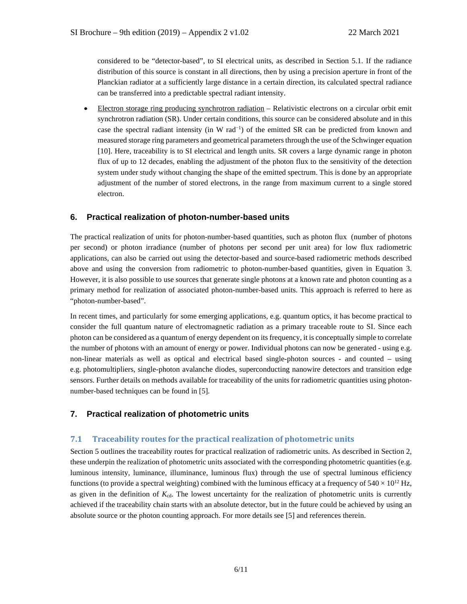considered to be "detector-based", to SI electrical units, as described in Section 5.1. If the radiance distribution of this source is constant in all directions, then by using a precision aperture in front of the Planckian radiator at a sufficiently large distance in a certain direction, its calculated spectral radiance can be transferred into a predictable spectral radiant intensity.

• Electron storage ring producing synchrotron radiation – Relativistic electrons on a circular orbit emit synchrotron radiation (SR). Under certain conditions, this source can be considered absolute and in this case the spectral radiant intensity (in W rad<sup>-1</sup>) of the emitted SR can be predicted from known and measured storage ring parameters and geometrical parameters through the use of the Schwinger equation [10]. Here, traceability is to SI electrical and length units. SR covers a large dynamic range in photon flux of up to 12 decades, enabling the adjustment of the photon flux to the sensitivity of the detection system under study without changing the shape of the emitted spectrum. This is done by an appropriate adjustment of the number of stored electrons, in the range from maximum current to a single stored electron.

## <span id="page-5-1"></span>**6. Practical realization of photon-number-based units**

The practical realization of units for photon-number-based quantities, such as photon flux (number of photons per second) or photon irradiance (number of photons per second per unit area) for low flux radiometric applications, can also be carried out using the detector-based and source-based radiometric methods described above and using the conversion from radiometric to photon-number-based quantities, given in Equation 3. However, it is also possible to use sources that generate single photons at a known rate and photon counting as a primary method for realization of associated photon-number-based units. This approach is referred to here as "photon-number-based".

In recent times, and particularly for some emerging applications, e.g. quantum optics, it has become practical to consider the full quantum nature of electromagnetic radiation as a primary traceable route to SI. Since each photon can be considered as a quantum of energy dependent on its frequency, it is conceptually simple to correlate the number of photons with an amount of energy or power. Individual photons can now be generated - using e.g. non-linear materials as well as optical and electrical based single-photon sources - and counted – using e.g. photomultipliers, single-photon avalanche diodes, superconducting nanowire detectors and transition edge sensors. Further details on methods available for traceability of the units for radiometric quantities using photonnumber-based techniques can be found in [5].

#### <span id="page-5-0"></span>**7. Practical realization of photometric units**

#### <span id="page-5-2"></span>**7.1 Traceability routes for the practical realization of photometric units**

Section 5 outlines the traceability routes for practical realization of radiometric units. As described in Section 2, these underpin the realization of photometric units associated with the corresponding photometric quantities (e.g. luminous intensity, luminance, illuminance, luminous flux) through the use of spectral luminous efficiency functions (to provide a spectral weighting) combined with the luminous efficacy at a frequency of  $540 \times 10^{12}$  Hz, as given in the definition of  $K_{cd}$ . The lowest uncertainty for the realization of photometric units is currently achieved if the traceability chain starts with an absolute detector, but in the future could be achieved by using an absolute source or the photon counting approach. For more details see [5] and references therein.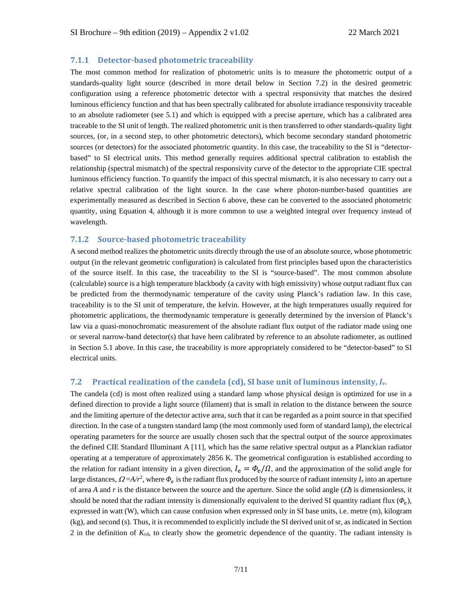#### **7.1.1 Detector-based photometric traceability**

The most common method for realization of photometric units is to measure the photometric output of a standards-quality light source (described in more detail below in Section 7.2) in the desired geometric configuration using a reference photometric detector with a spectral responsivity that matches the desired luminous efficiency function and that has been spectrally calibrated for absolute irradiance responsivity traceable to an absolute radiometer (see 5.1) and which is equipped with a precise aperture, which has a calibrated area traceable to the SI unit of length. The realized photometric unit is then transferred to other standards-quality light sources, (or, in a second step, to other photometric detectors), which become secondary standard photometric sources (or detectors) for the associated photometric quantity. In this case, the traceability to the SI is "detectorbased" to SI electrical units. This method generally requires additional spectral calibration to establish the relationship (spectral mismatch) of the spectral responsivity curve of the detector to the appropriate CIE spectral luminous efficiency function. To quantify the impact of this spectral mismatch, it is also necessary to carry out a relative spectral calibration of the light source. In the case where photon-number-based quantities are experimentally measured as described in Section 6 above, these can be converted to the associated photometric quantity, using Equation 4, although it is more common to use a weighted integral over frequency instead of wavelength.

#### **7.1.2 Source-based photometric traceability**

A second method realizes the photometric units directly through the use of an absolute source, whose photometric output (in the relevant geometric configuration) is calculated from first principles based upon the characteristics of the source itself. In this case, the traceability to the SI is "source-based". The most common absolute (calculable) source is a high temperature blackbody (a cavity with high emissivity) whose output radiant flux can be predicted from the thermodynamic temperature of the cavity using Planck's radiation law. In this case, traceability is to the SI unit of temperature, the kelvin. However, at the high temperatures usually required for photometric applications, the thermodynamic temperature is generally determined by the inversion of Planck's law via a quasi-monochromatic measurement of the absolute radiant flux output of the radiator made using one or several narrow-band detector(s) that have been calibrated by reference to an absolute radiometer, as outlined in Section 5.1 above. In this case, the traceability is more appropriately considered to be "detector-based" to SI electrical units.

# <span id="page-6-0"></span>**7.2 Practical realization of the candela (cd), SI base unit of luminous intensity,** *I***v.**

The candela (cd) is most often realized using a standard lamp whose physical design is optimized for use in a defined direction to provide a light source (filament) that is small in relation to the distance between the source and the limiting aperture of the detector active area, such that it can be regarded as a point source in that specified direction. In the case of a tungsten standard lamp (the most commonly used form of standard lamp), the electrical operating parameters for the source are usually chosen such that the spectral output of the source approximates the defined CIE Standard Illuminant A [11], which has the same relative spectral output as a Planckian radiator operating at a temperature of approximately 2856 K. The geometrical configuration is established according to the relation for radiant intensity in a given direction,  $I_e = \Phi_e / \Omega$ , and the approximation of the solid angle for large distances,  $Q = A/r^2$ , where  $\Phi_e$  is the radiant flux produced by the source of radiant intensity  $I_e$  into an aperture of area *A* and *r* is the distance between the source and the aperture. Since the solid angle  $(\Omega)$  is dimensionless, it should be noted that the radiant intensity is dimensionally equivalent to the derived SI quantity radiant flux  $(\phi_e)$ , expressed in watt (W), which can cause confusion when expressed only in SI base units, i.e. metre (m), kilogram (kg), and second (s). Thus, it is recommended to explicitly include the SI derived unit of sr, as indicated in Section 2 in the definition of  $K_{cd}$ , to clearly show the geometric dependence of the quantity. The radiant intensity is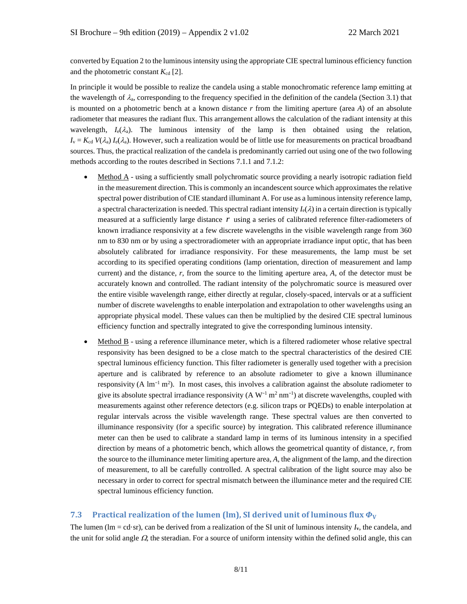converted by Equation 2 to the luminous intensity using the appropriate CIE spectral luminous efficiency function and the photometric constant  $K_{cd}$  [2].

In principle it would be possible to realize the candela using a stable monochromatic reference lamp emitting at the wavelength of  $\lambda_a$ , corresponding to the frequency specified in the definition of the candela (Section 3.1) that is mounted on a photometric bench at a known distance *r* from the limiting aperture (area *A*) of an absolute radiometer that measures the radiant flux. This arrangement allows the calculation of the radiant intensity at this wavelength,  $I_e(\lambda_a)$ . The luminous intensity of the lamp is then obtained using the relation,  $I_v = K_{cd} V(\lambda_a) I_e(\lambda_a)$ . However, such a realization would be of little use for measurements on practical broadband sources. Thus, the practical realization of the candela is predominantly carried out using one of the two following methods according to the routes described in Sections 7.1.1 and 7.1.2:

- Method A using a sufficiently small polychromatic source providing a nearly isotropic radiation field in the measurement direction. This is commonly an incandescent source which approximates the relative spectral power distribution of CIE standard illuminant A. For use as a luminous intensity reference lamp, a spectral characterization is needed. This spectral radiant intensity  $I_e(\lambda)$  in a certain direction is typically measured at a sufficiently large distance *r* using a series of calibrated reference filter-radiometers of known irradiance responsivity at a few discrete wavelengths in the visible wavelength range from 360 nm to 830 nm or by using a spectroradiometer with an appropriate irradiance input optic, that has been absolutely calibrated for irradiance responsivity. For these measurements, the lamp must be set according to its specified operating conditions (lamp orientation, direction of measurement and lamp current) and the distance, *r*, from the source to the limiting aperture area, *A*, of the detector must be accurately known and controlled. The radiant intensity of the polychromatic source is measured over the entire visible wavelength range, either directly at regular, closely-spaced, intervals or at a sufficient number of discrete wavelengths to enable interpolation and extrapolation to other wavelengths using an appropriate physical model. These values can then be multiplied by the desired CIE spectral luminous efficiency function and spectrally integrated to give the corresponding luminous intensity.
- Method B using a reference illuminance meter, which is a filtered radiometer whose relative spectral responsivity has been designed to be a close match to the spectral characteristics of the desired CIE spectral luminous efficiency function. This filter radiometer is generally used together with a precision aperture and is calibrated by reference to an absolute radiometer to give a known illuminance responsivity (A  $\text{Im}^{-1}$  m<sup>2</sup>). In most cases, this involves a calibration against the absolute radiometer to give its absolute spectral irradiance responsivity  $(A W^{-1} m^2 nm^{-1})$  at discrete wavelengths, coupled with measurements against other reference detectors (e.g. silicon traps or PQEDs) to enable interpolation at regular intervals across the visible wavelength range. These spectral values are then converted to illuminance responsivity (for a specific source) by integration. This calibrated reference illuminance meter can then be used to calibrate a standard lamp in terms of its luminous intensity in a specified direction by means of a photometric bench, which allows the geometrical quantity of distance, *r*, from the source to the illuminance meter limiting aperture area, *A*, the alignment of the lamp, and the direction of measurement, to all be carefully controlled. A spectral calibration of the light source may also be necessary in order to correct for spectral mismatch between the illuminance meter and the required CIE spectral luminous efficiency function.

#### **7.3** Practical realization of the lumen (lm), SI derived unit of luminous flux  $\Phi_V$

The lumen (lm = cd·sr), can be derived from a realization of the SI unit of luminous intensity  $I_v$ , the candela, and the unit for solid angle  $\Omega$ , the steradian. For a source of uniform intensity within the defined solid angle, this can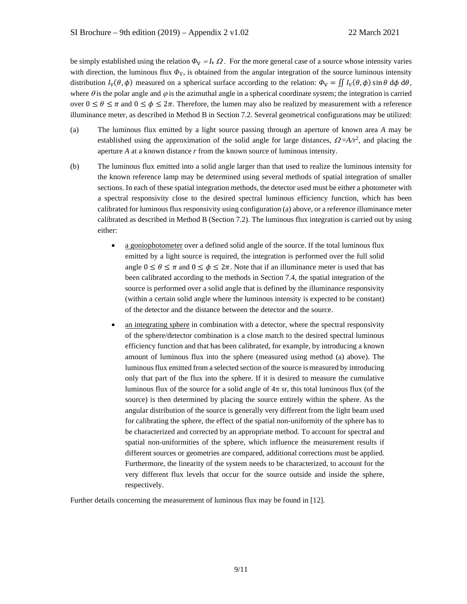be simply established using the relation  $\Phi_V = I_V \Omega$ . For the more general case of a source whose intensity varies with direction, the luminous flux  $\Phi_{V}$ , is obtained from the angular integration of the source luminous intensity distribution  $I_V(\theta, \phi)$  measured on a spherical surface according to the relation:  $\Phi_V = \iint I_V(\theta, \phi) \sin \theta \, d\phi \, d\theta$ , where  $\theta$  is the polar angle and  $\varphi$  is the azimuthal angle in a spherical coordinate system; the integration is carried over  $0 \le \theta \le \pi$  and  $0 \le \phi \le 2\pi$ . Therefore, the lumen may also be realized by measurement with a reference illuminance meter, as described in Method B in Section 7.2. Several geometrical configurations may be utilized:

- (a) The luminous flux emitted by a light source passing through an aperture of known area *A* may be established using the approximation of the solid angle for large distances,  $\Omega = A/r^2$ , and placing the aperture *A* at a known distance *r* from the known source of luminous intensity.
- (b) The luminous flux emitted into a solid angle larger than that used to realize the luminous intensity for the known reference lamp may be determined using several methods of spatial integration of smaller sections. In each of these spatial integration methods, the detector used must be either a photometer with a spectral responsivity close to the desired spectral luminous efficiency function, which has been calibrated for luminous flux responsivity using configuration (a) above, or a reference illuminance meter calibrated as described in Method B (Section 7.2). The luminous flux integration is carried out by using either:
	- a goniophotometer over a defined solid angle of the source. If the total luminous flux emitted by a light source is required, the integration is performed over the full solid angle  $0 \le \theta \le \pi$  and  $0 \le \phi \le 2\pi$ . Note that if an illuminance meter is used that has been calibrated according to the methods in Section 7.4, the spatial integration of the source is performed over a solid angle that is defined by the illuminance responsivity (within a certain solid angle where the luminous intensity is expected to be constant) of the detector and the distance between the detector and the source.
	- an integrating sphere in combination with a detector, where the spectral responsivity of the sphere/detector combination is a close match to the desired spectral luminous efficiency function and that has been calibrated, for example, by introducing a known amount of luminous flux into the sphere (measured using method (a) above). The luminous flux emitted from a selected section of the source is measured by introducing only that part of the flux into the sphere. If it is desired to measure the cumulative luminous flux of the source for a solid angle of  $4\pi$  sr, this total luminous flux (of the source) is then determined by placing the source entirely within the sphere. As the angular distribution of the source is generally very different from the light beam used for calibrating the sphere, the effect of the spatial non-uniformity of the sphere has to be characterized and corrected by an appropriate method. To account for spectral and spatial non-uniformities of the sphere, which influence the measurement results if different sources or geometries are compared, additional corrections must be applied. Furthermore, the linearity of the system needs to be characterized, to account for the very different flux levels that occur for the source outside and inside the sphere, respectively.

Further details concerning the measurement of luminous flux may be found in [12].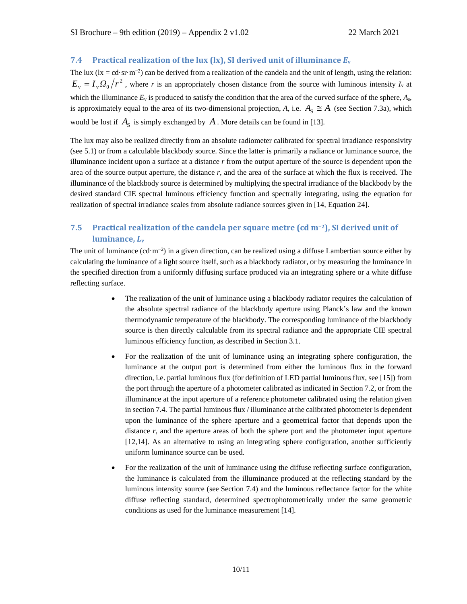# **7.4 Practical realization of the lux (lx), SI derived unit of illuminance**  $E_v$

The lux ( $lx = cd·sr·m<sup>-2</sup>$ ) can be derived from a realization of the candela and the unit of length, using the relation:  $E_y = I_y \Omega_0 / r^2$ , where *r* is an appropriately chosen distance from the source with luminous intensity  $I_y$  at which the illuminance  $E_y$  is produced to satisfy the condition that the area of the curved surface of the sphere,  $A_{\rm s}$ , is approximately equal to the area of its two-dimensional projection, *A*, i.e.  $A_s \cong A$  (see Section 7.3a), which would be lost if  $A_S$  is simply exchanged by  $A$ . More details can be found in [13].

The lux may also be realized directly from an absolute radiometer calibrated for spectral irradiance responsivity (see 5.1) or from a calculable blackbody source. Since the latter is primarily a radiance or luminance source, the illuminance incident upon a surface at a distance *r* from the output aperture of the source is dependent upon the area of the source output aperture, the distance *r*, and the area of the surface at which the flux is received. The illuminance of the blackbody source is determined by multiplying the spectral irradiance of the blackbody by the desired standard CIE spectral luminous efficiency function and spectrally integrating, using the equation for realization of spectral irradiance scales from absolute radiance sources given in [14, Equation 24].

# <span id="page-9-0"></span>**7.5 Practical realization of the candela per square metre (cd m−2), SI derived unit of luminance,** *L***<sup>v</sup>**

The unit of luminance  $(cd \cdot m^{-2})$  in a given direction, can be realized using a diffuse Lambertian source either by calculating the luminance of a light source itself, such as a blackbody radiator, or by measuring the luminance in the specified direction from a uniformly diffusing surface produced via an integrating sphere or a white diffuse reflecting surface.

- The realization of the unit of luminance using a blackbody radiator requires the calculation of the absolute spectral radiance of the blackbody aperture using Planck's law and the known thermodynamic temperature of the blackbody. The corresponding luminance of the blackbody source is then directly calculable from its spectral radiance and the appropriate CIE spectral luminous efficiency function, as described in Section 3.1.
- For the realization of the unit of luminance using an integrating sphere configuration, the luminance at the output port is determined from either the luminous flux in the forward direction, i.e. partial luminous flux (for definition of LED partial luminous flux, see [15]) from the port through the aperture of a photometer calibrated as indicated in Section 7.2, or from the illuminance at the input aperture of a reference photometer calibrated using the relation given in section 7.4. The partial luminous flux / illuminance at the calibrated photometer is dependent upon the luminance of the sphere aperture and a geometrical factor that depends upon the distance *r*, and the aperture areas of both the sphere port and the photometer input aperture [12,14]. As an alternative to using an integrating sphere configuration, another sufficiently uniform luminance source can be used.
- For the realization of the unit of luminance using the diffuse reflecting surface configuration, the luminance is calculated from the illuminance produced at the reflecting standard by the luminous intensity source (see Section 7.4) and the luminous reflectance factor for the white diffuse reflecting standard, determined spectrophotometrically under the same geometric conditions as used for the luminance measurement [14].